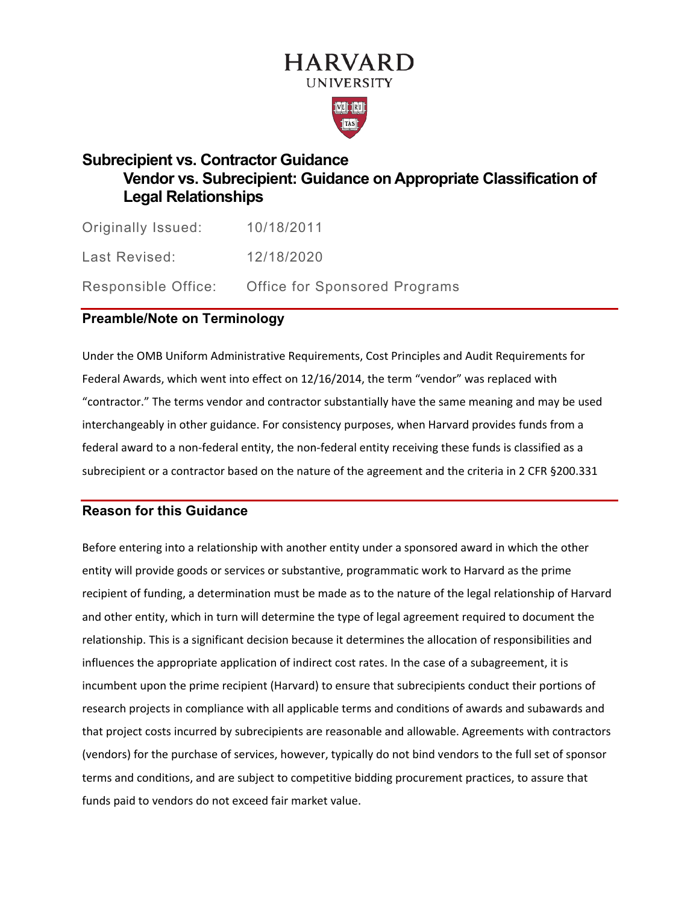# **HARVARD UNIVERSITY**



## **Subrecipient vs. Contractor Guidance Vendor vs. Subrecipient: Guidance on Appropriate Classification of Legal Relationships**

Originally Issued: 10/18/2011 Last Revised: 12/18/2020 Responsible Office: Office for Sponsored Programs

## **Preamble/Note on Terminology**

Under the OMB Uniform Administrative Requirements, Cost Principles and Audit Requirements for Federal Awards, which went into effect on 12/16/2014, the term "vendor" was replaced with "contractor." The terms vendor and contractor substantially have the same meaning and may be used interchangeably in other guidance. For consistency purposes, when Harvard provides funds from a federal award to a non-federal entity, the non-federal entity receiving these funds is classified as a subrecipient or a contractor based on the nature of the agreement and the criteria in 2 CFR §200.331

## **Reason for this Guidance**

Before entering into a relationship with another entity under a sponsored award in which the other entity will provide goods or services or substantive, programmatic work to Harvard as the prime recipient of funding, a determination must be made as to the nature of the legal relationship of Harvard and other entity, which in turn will determine the type of legal agreement required to document the relationship. This is a significant decision because it determines the allocation of responsibilities and influences the appropriate application of indirect cost rates. In the case of a subagreement, it is incumbent upon the prime recipient (Harvard) to ensure that subrecipients conduct their portions of research projects in compliance with all applicable terms and conditions of awards and subawards and that project costs incurred by subrecipients are reasonable and allowable. Agreements with contractors (vendors) for the purchase of services, however, typically do not bind vendors to the full set of sponsor terms and conditions, and are subject to competitive bidding procurement practices, to assure that funds paid to vendors do not exceed fair market value.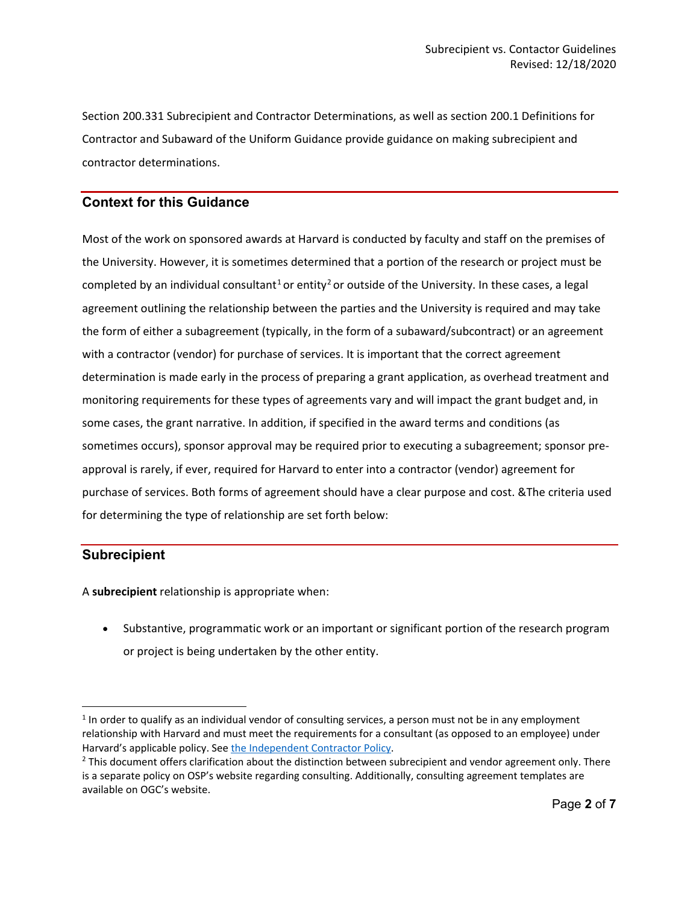Section 200.331 Subrecipient and Contractor Determinations, as well as section 200.1 Definitions for Contractor and Subaward of the Uniform Guidance provide guidance on making subrecipient and contractor determinations.

#### **Context for this Guidance**

Most of the work on sponsored awards at Harvard is conducted by faculty and staff on the premises of the University. However, it is sometimes determined that a portion of the research or project must be completed by an individual consultant<sup>[1](#page-1-0)</sup> or entity<sup>[2](#page-1-1)</sup> or outside of the University. In these cases, a legal agreement outlining the relationship between the parties and the University is required and may take the form of either a subagreement (typically, in the form of a subaward/subcontract) or an agreement with a contractor (vendor) for purchase of services. It is important that the correct agreement determination is made early in the process of preparing a grant application, as overhead treatment and monitoring requirements for these types of agreements vary and will impact the grant budget and, in some cases, the grant narrative. In addition, if specified in the award terms and conditions (as sometimes occurs), sponsor approval may be required prior to executing a subagreement; sponsor preapproval is rarely, if ever, required for Harvard to enter into a contractor (vendor) agreement for purchase of services. Both forms of agreement should have a clear purpose and cost. &The criteria used for determining the type of relationship are set forth below:

#### **Subrecipient**

A **subrecipient** relationship is appropriate when:

• Substantive, programmatic work or an important or significant portion of the research program or project is being undertaken by the other entity.

<span id="page-1-0"></span> $1$  In order to qualify as an individual vendor of consulting services, a person must not be in any employment relationship with Harvard and must meet the requirements for a consultant (as opposed to an employee) under Harvard's applicable policy. Se[e the Independent Contractor Policy.](https://policies.fad.harvard.edu/pages/independent-contractors)

<span id="page-1-1"></span> $<sup>2</sup>$  This document offers clarification about the distinction between subrecipient and vendor agreement only. There</sup> is a separate policy on OSP's website regarding consulting. Additionally, consulting agreement templates are available on OGC's website.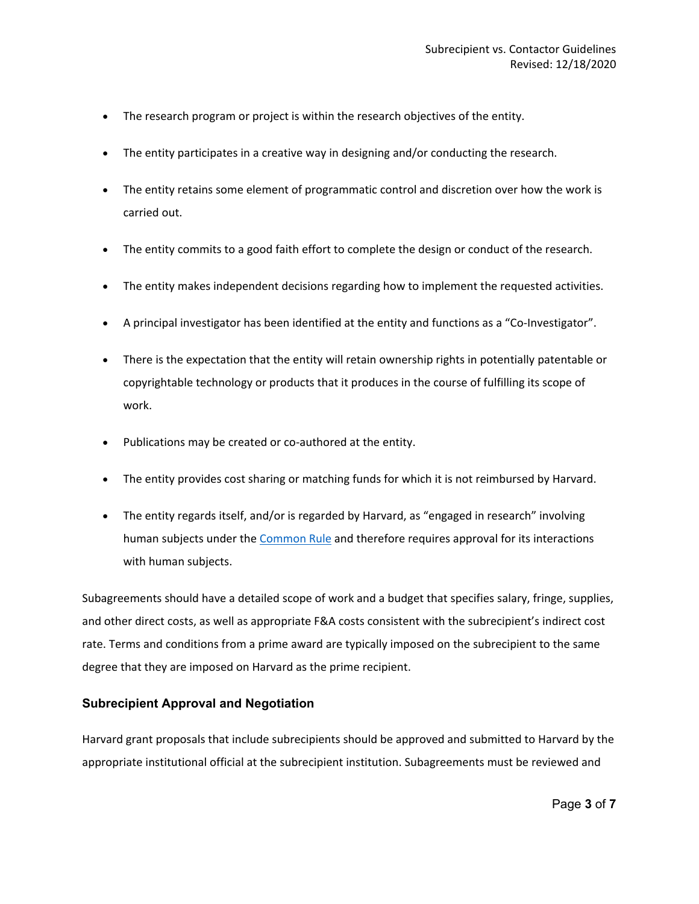- The research program or project is within the research objectives of the entity.
- The entity participates in a creative way in designing and/or conducting the research.
- The entity retains some element of programmatic control and discretion over how the work is carried out.
- The entity commits to a good faith effort to complete the design or conduct of the research.
- The entity makes independent decisions regarding how to implement the requested activities.
- A principal investigator has been identified at the entity and functions as a "Co-Investigator".
- There is the expectation that the entity will retain ownership rights in potentially patentable or copyrightable technology or products that it produces in the course of fulfilling its scope of work.
- Publications may be created or co-authored at the entity.
- The entity provides cost sharing or matching funds for which it is not reimbursed by Harvard.
- The entity regards itself, and/or is regarded by Harvard, as "engaged in research" involving human subjects under the [Common Rule](https://www.hhs.gov/ohrp/regulations-and-policy/regulations/common-rule/index.html) and therefore requires approval for its interactions with human subjects.

Subagreements should have a detailed scope of work and a budget that specifies salary, fringe, supplies, and other direct costs, as well as appropriate F&A costs consistent with the subrecipient's indirect cost rate. Terms and conditions from a prime award are typically imposed on the subrecipient to the same degree that they are imposed on Harvard as the prime recipient.

#### **Subrecipient Approval and Negotiation**

Harvard grant proposals that include subrecipients should be approved and submitted to Harvard by the appropriate institutional official at the subrecipient institution. Subagreements must be reviewed and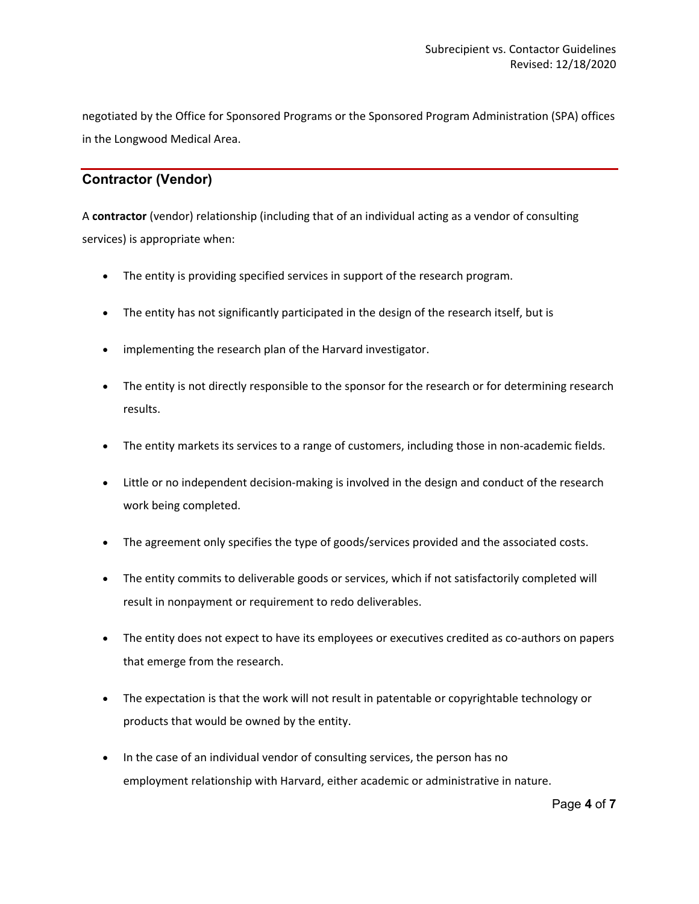negotiated by the Office for Sponsored Programs or the Sponsored Program Administration (SPA) offices in the Longwood Medical Area.

## **Contractor (Vendor)**

A **contractor** (vendor) relationship (including that of an individual acting as a vendor of consulting services) is appropriate when:

- The entity is providing specified services in support of the research program.
- The entity has not significantly participated in the design of the research itself, but is
- implementing the research plan of the Harvard investigator.
- The entity is not directly responsible to the sponsor for the research or for determining research results.
- The entity markets its services to a range of customers, including those in non-academic fields.
- Little or no independent decision-making is involved in the design and conduct of the research work being completed.
- The agreement only specifies the type of goods/services provided and the associated costs.
- The entity commits to deliverable goods or services, which if not satisfactorily completed will result in nonpayment or requirement to redo deliverables.
- The entity does not expect to have its employees or executives credited as co-authors on papers that emerge from the research.
- The expectation is that the work will not result in patentable or copyrightable technology or products that would be owned by the entity.
- In the case of an individual vendor of consulting services, the person has no employment relationship with Harvard, either academic or administrative in nature.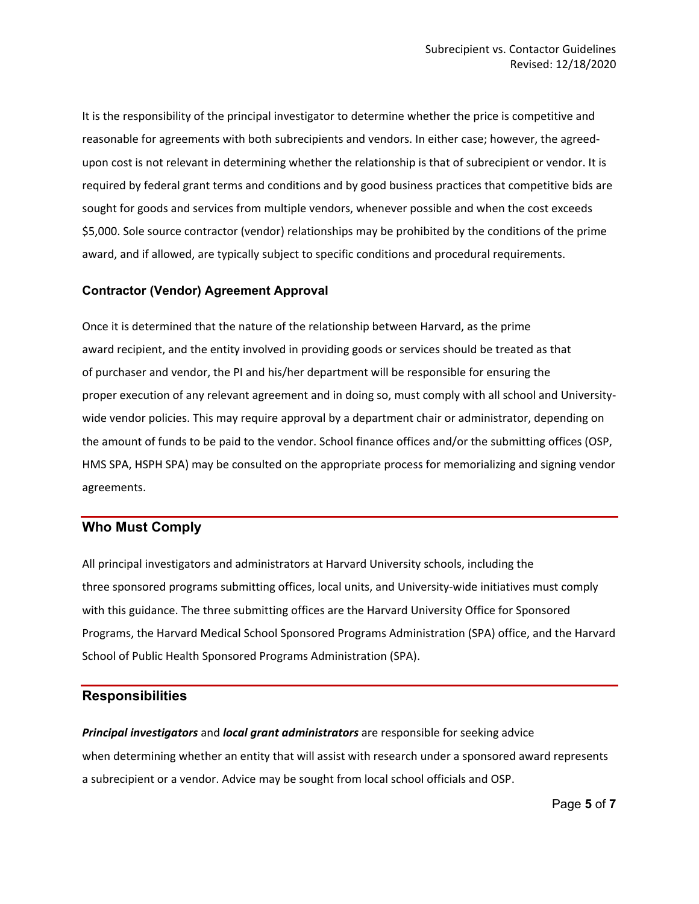It is the responsibility of the principal investigator to determine whether the price is competitive and reasonable for agreements with both subrecipients and vendors. In either case; however, the agreedupon cost is not relevant in determining whether the relationship is that of subrecipient or vendor. It is required by federal grant terms and conditions and by good business practices that competitive bids are sought for goods and services from multiple vendors, whenever possible and when the cost exceeds \$5,000. Sole source contractor (vendor) relationships may be prohibited by the conditions of the prime award, and if allowed, are typically subject to specific conditions and procedural requirements.

#### **Contractor (Vendor) Agreement Approval**

Once it is determined that the nature of the relationship between Harvard, as the prime award recipient, and the entity involved in providing goods or services should be treated as that of purchaser and vendor, the PI and his/her department will be responsible for ensuring the proper execution of any relevant agreement and in doing so, must comply with all school and Universitywide vendor policies. This may require approval by a department chair or administrator, depending on the amount of funds to be paid to the vendor. School finance offices and/or the submitting offices (OSP, HMS SPA, HSPH SPA) may be consulted on the appropriate process for memorializing and signing vendor agreements.

#### **Who Must Comply**

All principal investigators and administrators at Harvard University schools, including the three sponsored programs submitting offices, local units, and University-wide initiatives must comply with this guidance. The three submitting offices are the Harvard University Office for Sponsored Programs, the Harvard Medical School Sponsored Programs Administration (SPA) office, and the Harvard School of Public Health Sponsored Programs Administration (SPA).

### **Responsibilities**

*Principal investigators* and *local grant administrators* are responsible for seeking advice when determining whether an entity that will assist with research under a sponsored award represents a subrecipient or a vendor. Advice may be sought from local school officials and OSP.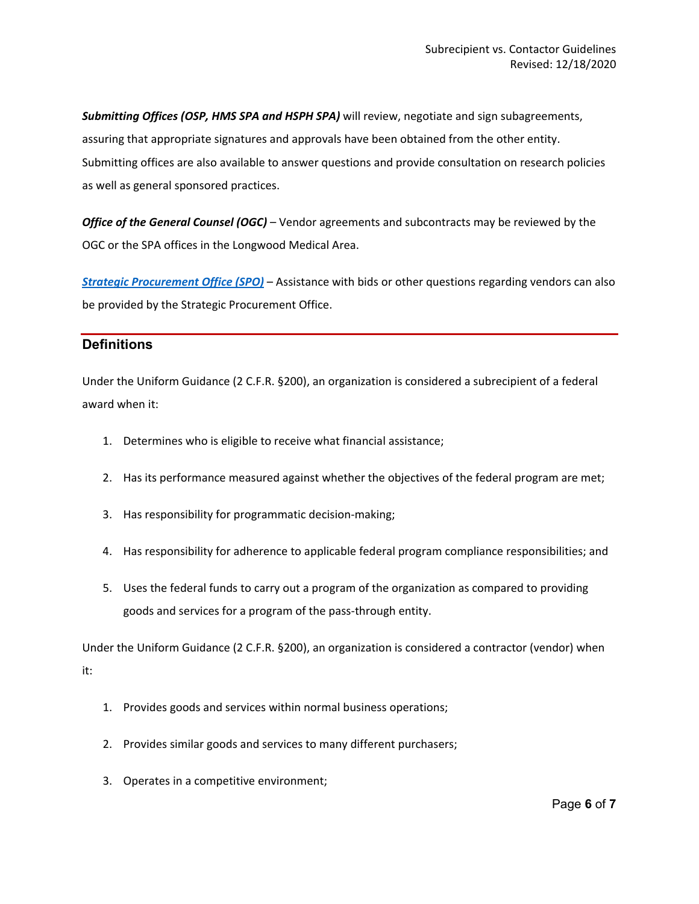*Submitting Offices (OSP, HMS SPA and HSPH SPA)* will review, negotiate and sign subagreements, assuring that appropriate signatures and approvals have been obtained from the other entity. Submitting offices are also available to answer questions and provide consultation on research policies as well as general sponsored practices.

*Office of the General Counsel (OGC)* – Vendor agreements and subcontracts may be reviewed by the OGC or the SPA offices in the Longwood Medical Area.

*[Strategic Procurement Office \(SPO\)](https://procurement.harvard.edu/)* – Assistance with bids or other questions regarding vendors can also be provided by the Strategic Procurement Office.

### **Definitions**

Under the Uniform Guidance (2 C.F.R. §200), an organization is considered a subrecipient of a federal award when it:

- 1. Determines who is eligible to receive what financial assistance;
- 2. Has its performance measured against whether the objectives of the federal program are met;
- 3. Has responsibility for programmatic decision-making;
- 4. Has responsibility for adherence to applicable federal program compliance responsibilities; and
- 5. Uses the federal funds to carry out a program of the organization as compared to providing goods and services for a program of the pass-through entity.

Under the Uniform Guidance (2 C.F.R. §200), an organization is considered a contractor (vendor) when it:

- 1. Provides goods and services within normal business operations;
- 2. Provides similar goods and services to many different purchasers;
- 3. Operates in a competitive environment;